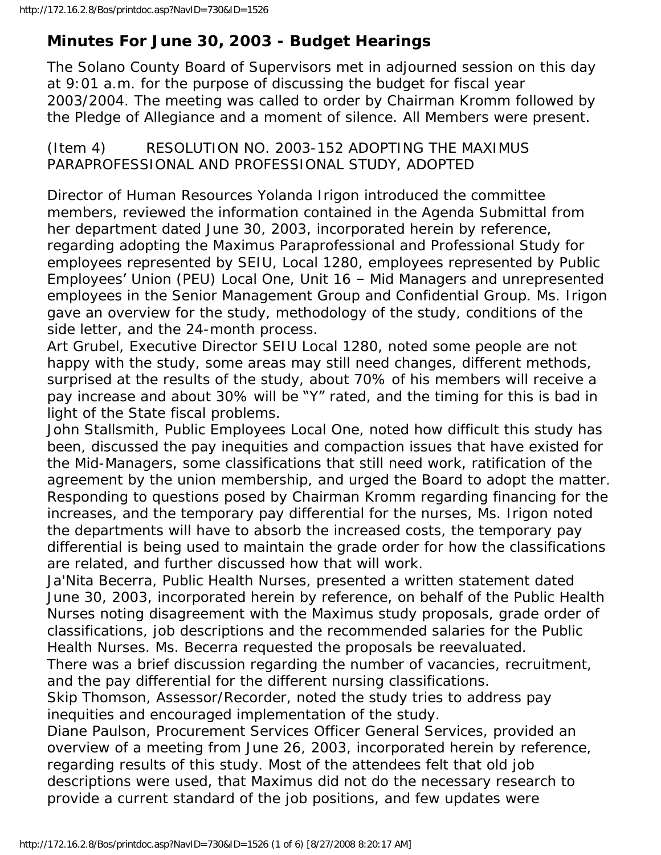# **Minutes For June 30, 2003 - Budget Hearings**

The Solano County Board of Supervisors met in adjourned session on this day at 9:01 a.m. for the purpose of discussing the budget for fiscal year 2003/2004. The meeting was called to order by Chairman Kromm followed by the Pledge of Allegiance and a moment of silence. All Members were present.

# (Item 4) RESOLUTION NO. 2003-152 ADOPTING THE MAXIMUS PARAPROFESSIONAL AND PROFESSIONAL STUDY, ADOPTED

Director of Human Resources Yolanda Irigon introduced the committee members, reviewed the information contained in the Agenda Submittal from her department dated June 30, 2003, incorporated herein by reference, regarding adopting the Maximus Paraprofessional and Professional Study for employees represented by SEIU, Local 1280, employees represented by Public Employees' Union (PEU) Local One, Unit 16 – Mid Managers and unrepresented employees in the Senior Management Group and Confidential Group. Ms. Irigon gave an overview for the study, methodology of the study, conditions of the side letter, and the 24-month process.

Art Grubel, Executive Director SEIU Local 1280, noted some people are not happy with the study, some areas may still need changes, different methods, surprised at the results of the study, about 70% of his members will receive a pay increase and about 30% will be "Y" rated, and the timing for this is bad in light of the State fiscal problems.

John Stallsmith, Public Employees Local One, noted how difficult this study has been, discussed the pay inequities and compaction issues that have existed for the Mid-Managers, some classifications that still need work, ratification of the agreement by the union membership, and urged the Board to adopt the matter. Responding to questions posed by Chairman Kromm regarding financing for the increases, and the temporary pay differential for the nurses, Ms. Irigon noted the departments will have to absorb the increased costs, the temporary pay differential is being used to maintain the grade order for how the classifications are related, and further discussed how that will work.

Ja'Nita Becerra, Public Health Nurses, presented a written statement dated June 30, 2003, incorporated herein by reference, on behalf of the Public Health Nurses noting disagreement with the Maximus study proposals, grade order of classifications, job descriptions and the recommended salaries for the Public Health Nurses. Ms. Becerra requested the proposals be reevaluated.

There was a brief discussion regarding the number of vacancies, recruitment, and the pay differential for the different nursing classifications.

Skip Thomson, Assessor/Recorder, noted the study tries to address pay inequities and encouraged implementation of the study.

Diane Paulson, Procurement Services Officer General Services, provided an overview of a meeting from June 26, 2003, incorporated herein by reference, regarding results of this study. Most of the attendees felt that old job descriptions were used, that Maximus did not do the necessary research to provide a current standard of the job positions, and few updates were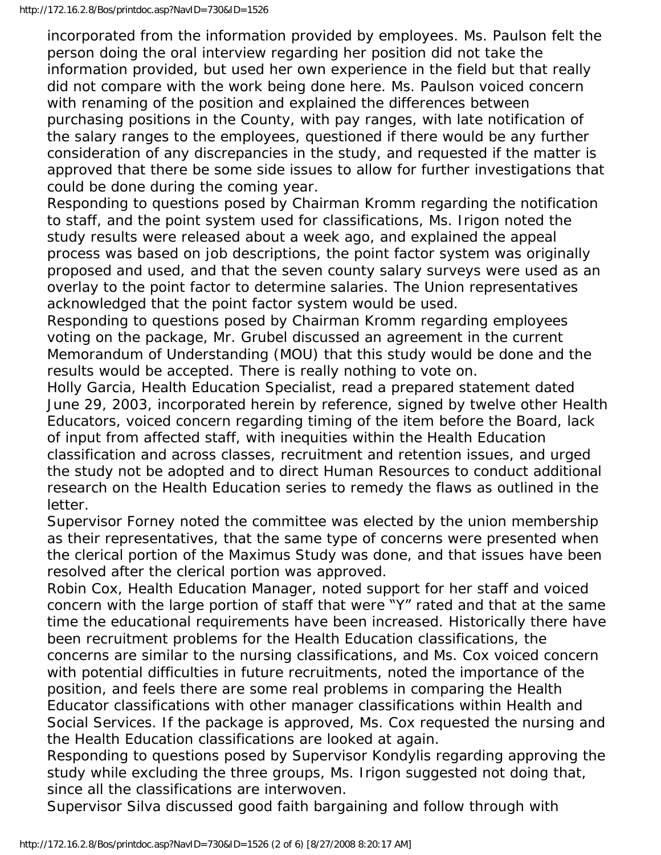incorporated from the information provided by employees. Ms. Paulson felt the person doing the oral interview regarding her position did not take the information provided, but used her own experience in the field but that really did not compare with the work being done here. Ms. Paulson voiced concern with renaming of the position and explained the differences between purchasing positions in the County, with pay ranges, with late notification of the salary ranges to the employees, questioned if there would be any further consideration of any discrepancies in the study, and requested if the matter is approved that there be some side issues to allow for further investigations that could be done during the coming year.

Responding to questions posed by Chairman Kromm regarding the notification to staff, and the point system used for classifications, Ms. Irigon noted the study results were released about a week ago, and explained the appeal process was based on job descriptions, the point factor system was originally proposed and used, and that the seven county salary surveys were used as an overlay to the point factor to determine salaries. The Union representatives acknowledged that the point factor system would be used.

Responding to questions posed by Chairman Kromm regarding employees voting on the package, Mr. Grubel discussed an agreement in the current Memorandum of Understanding (MOU) that this study would be done and the results would be accepted. There is really nothing to vote on.

Holly Garcia, Health Education Specialist, read a prepared statement dated June 29, 2003, incorporated herein by reference, signed by twelve other Health Educators, voiced concern regarding timing of the item before the Board, lack of input from affected staff, with inequities within the Health Education classification and across classes, recruitment and retention issues, and urged the study not be adopted and to direct Human Resources to conduct additional research on the Health Education series to remedy the flaws as outlined in the letter.

Supervisor Forney noted the committee was elected by the union membership as their representatives, that the same type of concerns were presented when the clerical portion of the Maximus Study was done, and that issues have been resolved after the clerical portion was approved.

Robin Cox, Health Education Manager, noted support for her staff and voiced concern with the large portion of staff that were "Y" rated and that at the same time the educational requirements have been increased. Historically there have been recruitment problems for the Health Education classifications, the

concerns are similar to the nursing classifications, and Ms. Cox voiced concern with potential difficulties in future recruitments, noted the importance of the position, and feels there are some real problems in comparing the Health Educator classifications with other manager classifications within Health and Social Services. If the package is approved, Ms. Cox requested the nursing and the Health Education classifications are looked at again.

Responding to questions posed by Supervisor Kondylis regarding approving the study while excluding the three groups, Ms. Irigon suggested not doing that, since all the classifications are interwoven.

Supervisor Silva discussed good faith bargaining and follow through with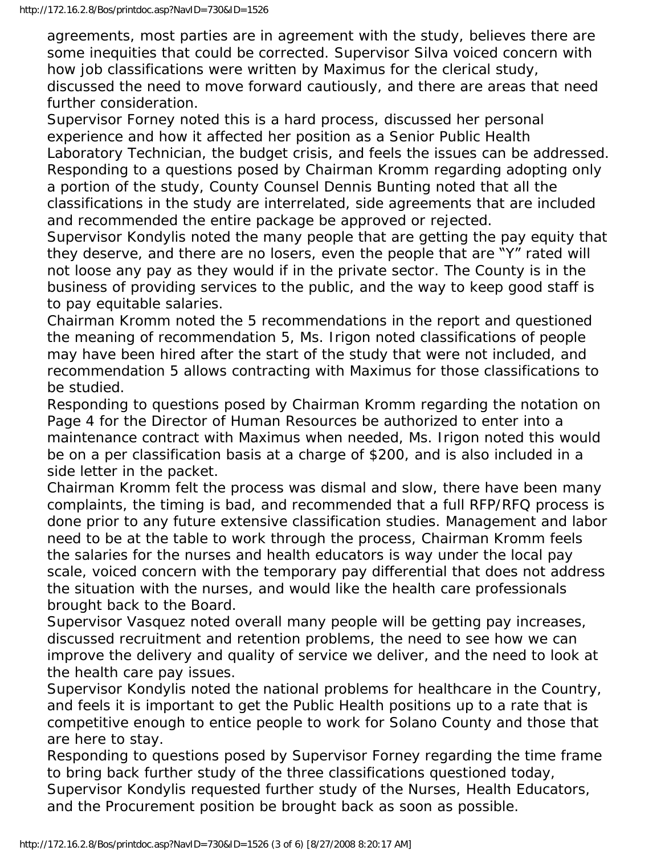agreements, most parties are in agreement with the study, believes there are some inequities that could be corrected. Supervisor Silva voiced concern with how job classifications were written by Maximus for the clerical study, discussed the need to move forward cautiously, and there are areas that need further consideration.

Supervisor Forney noted this is a hard process, discussed her personal experience and how it affected her position as a Senior Public Health Laboratory Technician, the budget crisis, and feels the issues can be addressed. Responding to a questions posed by Chairman Kromm regarding adopting only a portion of the study, County Counsel Dennis Bunting noted that all the classifications in the study are interrelated, side agreements that are included and recommended the entire package be approved or rejected.

Supervisor Kondylis noted the many people that are getting the pay equity that they deserve, and there are no losers, even the people that are "Y" rated will not loose any pay as they would if in the private sector. The County is in the business of providing services to the public, and the way to keep good staff is to pay equitable salaries.

Chairman Kromm noted the 5 recommendations in the report and questioned the meaning of recommendation 5, Ms. Irigon noted classifications of people may have been hired after the start of the study that were not included, and recommendation 5 allows contracting with Maximus for those classifications to be studied.

Responding to questions posed by Chairman Kromm regarding the notation on Page 4 for the Director of Human Resources be authorized to enter into a maintenance contract with Maximus when needed, Ms. Irigon noted this would be on a per classification basis at a charge of \$200, and is also included in a side letter in the packet.

Chairman Kromm felt the process was dismal and slow, there have been many complaints, the timing is bad, and recommended that a full RFP/RFQ process is done prior to any future extensive classification studies. Management and labor need to be at the table to work through the process, Chairman Kromm feels the salaries for the nurses and health educators is way under the local pay scale, voiced concern with the temporary pay differential that does not address the situation with the nurses, and would like the health care professionals brought back to the Board.

Supervisor Vasquez noted overall many people will be getting pay increases, discussed recruitment and retention problems, the need to see how we can improve the delivery and quality of service we deliver, and the need to look at the health care pay issues.

Supervisor Kondylis noted the national problems for healthcare in the Country, and feels it is important to get the Public Health positions up to a rate that is competitive enough to entice people to work for Solano County and those that are here to stay.

Responding to questions posed by Supervisor Forney regarding the time frame to bring back further study of the three classifications questioned today, Supervisor Kondylis requested further study of the Nurses, Health Educators, and the Procurement position be brought back as soon as possible.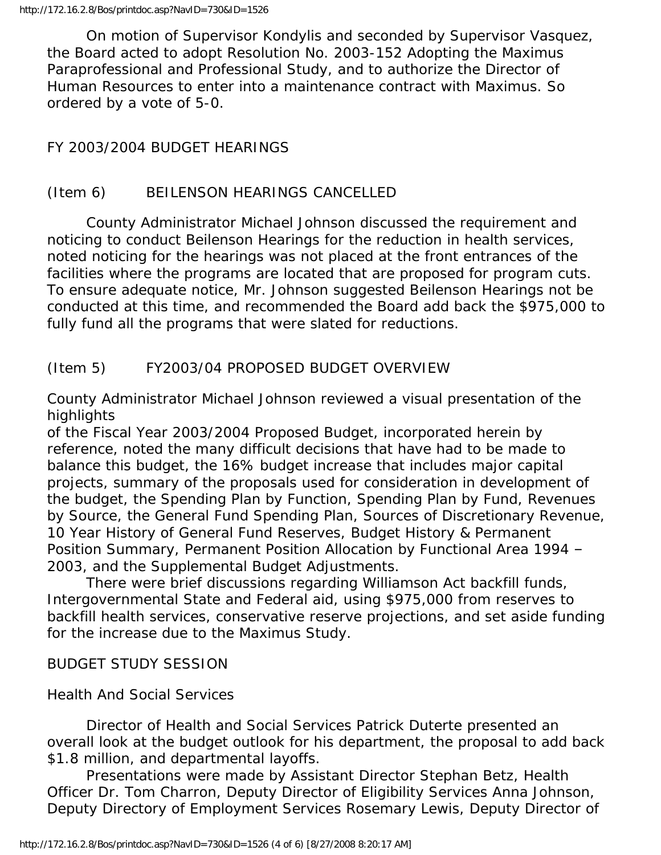On motion of Supervisor Kondylis and seconded by Supervisor Vasquez, the Board acted to adopt Resolution No. 2003-152 Adopting the Maximus Paraprofessional and Professional Study, and to authorize the Director of Human Resources to enter into a maintenance contract with Maximus. So ordered by a vote of 5-0.

# FY 2003/2004 BUDGET HEARINGS

# (Item 6) BEILENSON HEARINGS CANCELLED

 County Administrator Michael Johnson discussed the requirement and noticing to conduct Beilenson Hearings for the reduction in health services, noted noticing for the hearings was not placed at the front entrances of the facilities where the programs are located that are proposed for program cuts. To ensure adequate notice, Mr. Johnson suggested Beilenson Hearings not be conducted at this time, and recommended the Board add back the \$975,000 to fully fund all the programs that were slated for reductions.

# (Item 5) FY2003/04 PROPOSED BUDGET OVERVIEW

County Administrator Michael Johnson reviewed a visual presentation of the highlights

of the Fiscal Year 2003/2004 Proposed Budget, incorporated herein by reference, noted the many difficult decisions that have had to be made to balance this budget, the 16% budget increase that includes major capital projects, summary of the proposals used for consideration in development of the budget, the Spending Plan by Function, Spending Plan by Fund, Revenues by Source, the General Fund Spending Plan, Sources of Discretionary Revenue, 10 Year History of General Fund Reserves, Budget History & Permanent Position Summary, Permanent Position Allocation by Functional Area 1994 – 2003, and the Supplemental Budget Adjustments.

 There were brief discussions regarding Williamson Act backfill funds, Intergovernmental State and Federal aid, using \$975,000 from reserves to backfill health services, conservative reserve projections, and set aside funding for the increase due to the Maximus Study.

#### BUDGET STUDY SESSION

Health And Social Services

 Director of Health and Social Services Patrick Duterte presented an overall look at the budget outlook for his department, the proposal to add back \$1.8 million, and departmental layoffs.

 Presentations were made by Assistant Director Stephan Betz, Health Officer Dr. Tom Charron, Deputy Director of Eligibility Services Anna Johnson, Deputy Directory of Employment Services Rosemary Lewis, Deputy Director of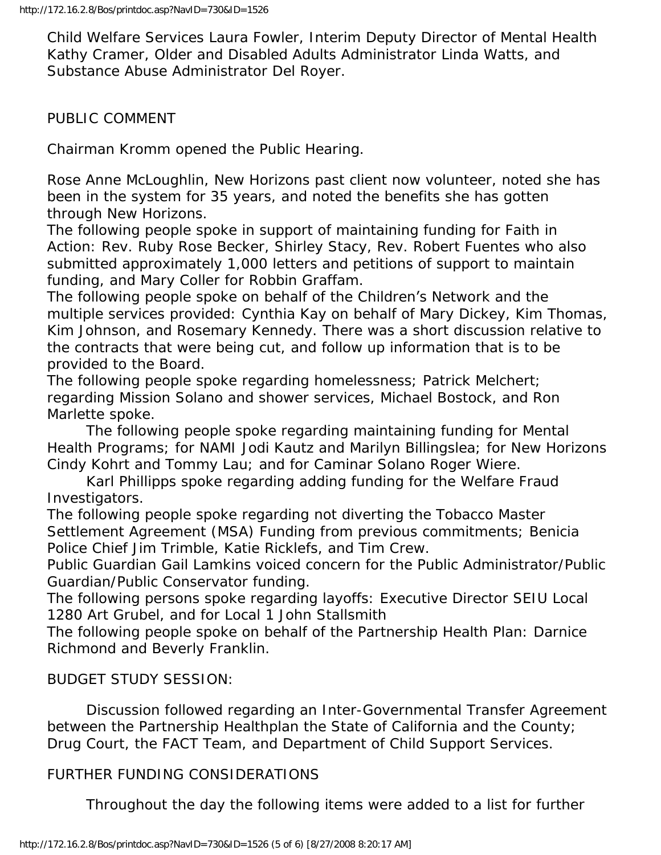Child Welfare Services Laura Fowler, Interim Deputy Director of Mental Health Kathy Cramer, Older and Disabled Adults Administrator Linda Watts, and Substance Abuse Administrator Del Royer.

#### PUBLIC COMMENT

Chairman Kromm opened the Public Hearing.

Rose Anne McLoughlin, New Horizons past client now volunteer, noted she has been in the system for 35 years, and noted the benefits she has gotten through New Horizons.

The following people spoke in support of maintaining funding for Faith in Action: Rev. Ruby Rose Becker, Shirley Stacy, Rev. Robert Fuentes who also submitted approximately 1,000 letters and petitions of support to maintain funding, and Mary Coller for Robbin Graffam.

The following people spoke on behalf of the Children's Network and the multiple services provided: Cynthia Kay on behalf of Mary Dickey, Kim Thomas, Kim Johnson, and Rosemary Kennedy. There was a short discussion relative to the contracts that were being cut, and follow up information that is to be provided to the Board.

The following people spoke regarding homelessness; Patrick Melchert; regarding Mission Solano and shower services, Michael Bostock, and Ron Marlette spoke.

 The following people spoke regarding maintaining funding for Mental Health Programs; for NAMI Jodi Kautz and Marilyn Billingslea; for New Horizons Cindy Kohrt and Tommy Lau; and for Caminar Solano Roger Wiere.

 Karl Phillipps spoke regarding adding funding for the Welfare Fraud Investigators.

The following people spoke regarding not diverting the Tobacco Master Settlement Agreement (MSA) Funding from previous commitments; Benicia Police Chief Jim Trimble, Katie Ricklefs, and Tim Crew.

Public Guardian Gail Lamkins voiced concern for the Public Administrator/Public Guardian/Public Conservator funding.

The following persons spoke regarding layoffs: Executive Director SEIU Local 1280 Art Grubel, and for Local 1 John Stallsmith

The following people spoke on behalf of the Partnership Health Plan: Darnice Richmond and Beverly Franklin.

#### BUDGET STUDY SESSION:

 Discussion followed regarding an Inter-Governmental Transfer Agreement between the Partnership Healthplan the State of California and the County; Drug Court, the FACT Team, and Department of Child Support Services.

#### FURTHER FUNDING CONSIDERATIONS

Throughout the day the following items were added to a list for further